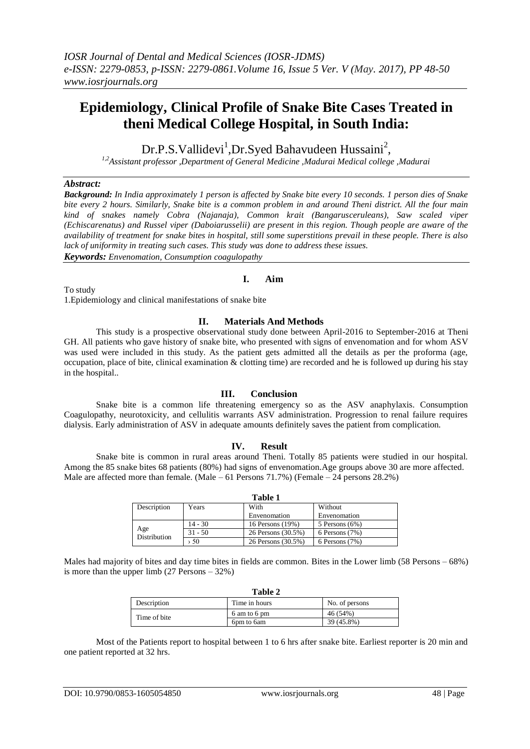# **Epidemiology, Clinical Profile of Snake Bite Cases Treated in theni Medical College Hospital, in South India:**

Dr.P.S. Vallidevi<sup>1</sup>, Dr. Syed Bahavudeen Hussaini<sup>2</sup>,

*1,2Assistant professor ,Department of General Medicine ,Madurai Medical college ,Madurai*

## *Abstract:*

*Background: In India approximately 1 person is affected by Snake bite every 10 seconds. 1 person dies of Snake bite every 2 hours. Similarly, Snake bite is a common problem in and around Theni district. All the four main kind of snakes namely Cobra (Najanaja), Common krait (Bangarusceruleans), Saw scaled viper (Echiscarenatus) and Russel viper (Daboiarusselii) are present in this region. Though people are aware of the availability of treatment for snake bites in hospital, still some superstitions prevail in these people. There is also lack of uniformity in treating such cases. This study was done to address these issues. Keywords: Envenomation, Consumption coagulopathy*

**I. Aim** To study 1.Epidemiology and clinical manifestations of snake bite

## **II. Materials And Methods**

This study is a prospective observational study done between April-2016 to September-2016 at Theni GH. All patients who gave history of snake bite, who presented with signs of envenomation and for whom ASV was used were included in this study. As the patient gets admitted all the details as per the proforma (age, occupation, place of bite, clinical examination & clotting time) are recorded and he is followed up during his stay in the hospital..

## **III. Conclusion**

Snake bite is a common life threatening emergency so as the ASV anaphylaxis. Consumption Coagulopathy, neurotoxicity, and cellulitis warrants ASV administration. Progression to renal failure requires dialysis. Early administration of ASV in adequate amounts definitely saves the patient from complication.

## **IV. Result**

Snake bite is common in rural areas around Theni. Totally 85 patients were studied in our hospital. Among the 85 snake bites 68 patients (80%) had signs of envenomation.Age groups above 30 are more affected. Male are affected more than female. (Male – 61 Persons 71.7%) (Female – 24 persons 28.2%)

| Table 1                    |           |                    |                    |
|----------------------------|-----------|--------------------|--------------------|
| Description                | Years     | With               | Without            |
|                            |           | Envenomation       | Envenomation       |
| Age<br><b>Distribution</b> | $14 - 30$ | 16 Persons (19%)   | 5 Persons $(6%)$   |
|                            | $31 - 50$ | 26 Persons (30.5%) | $6$ Persons $(7%)$ |
|                            | 50        | 26 Persons (30.5%) | $6$ Persons $(7%)$ |

**Table 1** 

Males had majority of bites and day time bites in fields are common. Bites in the Lower limb (58 Persons – 68%) is more than the upper limb  $(27$  Persons  $-32\%)$ 

| Table 2      |               |                |
|--------------|---------------|----------------|
| Description  | Time in hours | No. of persons |
|              | 6 am to 6 pm  | 46 (54%)       |
| Time of bite | 6pm to 6am    | 39 (45.8%)     |

Most of the Patients report to hospital between 1 to 6 hrs after snake bite. Earliest reporter is 20 min and one patient reported at 32 hrs.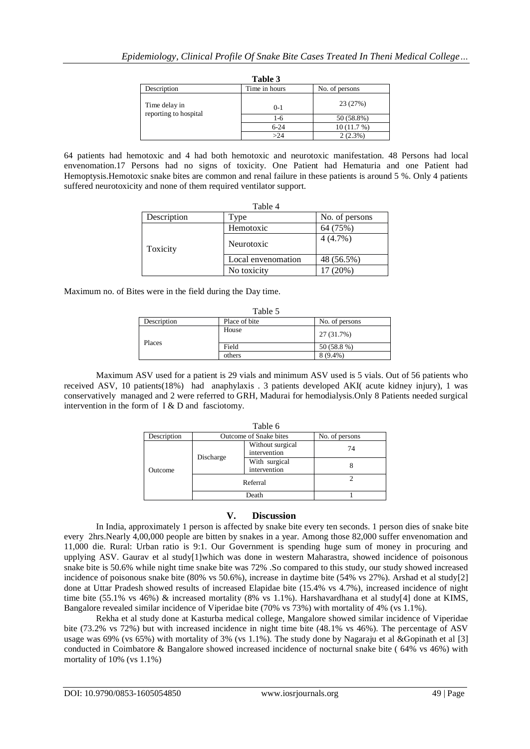|                                        | Table 3       |                |
|----------------------------------------|---------------|----------------|
| Description                            | Time in hours | No. of persons |
| Time delay in<br>reporting to hospital | $0-1$         | 23 (27%)       |
|                                        | $1-6$         | 50 (58.8%)     |
|                                        | $6 - 24$      | 10(11.7%)      |
|                                        | >24           | $2(2.3\%)$     |

64 patients had hemotoxic and 4 had both hemotoxic and neurotoxic manifestation. 48 Persons had local envenomation.17 Persons had no signs of toxicity. One Patient had Hematuria and one Patient had Hemoptysis.Hemotoxic snake bites are common and renal failure in these patients is around 5 %. Only 4 patients suffered neurotoxicity and none of them required ventilator support.

| Table 4     |                    |                |  |
|-------------|--------------------|----------------|--|
| Description | Type               | No. of persons |  |
|             | Hemotoxic          | 64 (75%)       |  |
| Toxicity    | Neurotoxic         | $4(4.7\%)$     |  |
|             | Local envenomation | 48 (56.5%)     |  |
|             | No toxicity        | 17 (20%)       |  |

Maximum no. of Bites were in the field during the Day time.

| Table 5     |               |                |  |
|-------------|---------------|----------------|--|
| Description | Place of bite | No. of persons |  |
|             | House         | 27 (31.7%)     |  |
| Places      | Field         | 50 (58.8 %)    |  |
|             | others        | 8 (9.4%)       |  |

Maximum ASV used for a patient is 29 vials and minimum ASV used is 5 vials. Out of 56 patients who received ASV, 10 patients(18%) had anaphylaxis . 3 patients developed AKI( acute kidney injury), 1 was conservatively managed and 2 were referred to GRH, Madurai for hemodialysis.Only 8 Patients needed surgical intervention in the form of I & D and fasciotomy.

| Table 6     |                        |                                  |                |
|-------------|------------------------|----------------------------------|----------------|
| Description | Outcome of Snake bites |                                  | No. of persons |
| Outcome     | Discharge              | Without surgical<br>intervention | 74             |
|             |                        | With surgical<br>intervention    |                |
|             | Referral               |                                  |                |
|             | Death                  |                                  |                |

## **V. Discussion**

In India, approximately 1 person is affected by snake bite every ten seconds. 1 person dies of snake bite every 2hrs.Nearly 4,00,000 people are bitten by snakes in a year. Among those 82,000 suffer envenomation and 11,000 die. Rural: Urban ratio is 9:1. Our Government is spending huge sum of money in procuring and upplying ASV. Gaurav et al study[\[1\]](https://www.ncbi.nlm.nih.gov/pubmed/25253932)which was done in western Maharastra, showed incidence of poisonous snake bite is 50.6% while night time snake bite was 72% .So compared to this study, our study showed increased incidence of poisonous snake bite (80% vs 50.6%), increase in daytime bite (54% vs 27%). Arshad et al stud[y\[2\]](https://www.omicsonline.org/2157-7145/2157-7145-3-146.digital/2157-7145-3-146.html) done at Uttar Pradesh showed results of increased Elapidae bite (15.4% vs 4.7%), increased incidence of night time bite (55.1% vs 46%) & increased mortality (8% vs 1.1%). Harshavardhana et al study[\[4\]](http://www.ijss-sn.com/uploads/2/0/1/5/20153321/ijss_apr-01.pdf) done at KIMS, Bangalore revealed similar incidence of Viperidae bite (70% vs 73%) with mortality of 4% (vs 1.1%).

Rekha et al study done at Kasturba medical college, Mangalore showed similar incidence of Viperidae bite (73.2% vs 72%) but with increased incidence in night time bite (48.1% vs 46%). The percentage of ASV usage was 69% (vs 65%) with mortality of 3% (vs 1.1%). The study done by Nagaraju et al &Gopinath et al [\[3\]](http://ijpsr.com/bft-article/survey-on-pattern-of-snake-bite-cases-admitted-in-south-indian-tertiary-care-hospitals/?view=fulltext) conducted in Coimbatore & Bangalore showed increased incidence of nocturnal snake bite ( 64% vs 46%) with mortality of 10% (vs 1.1%)